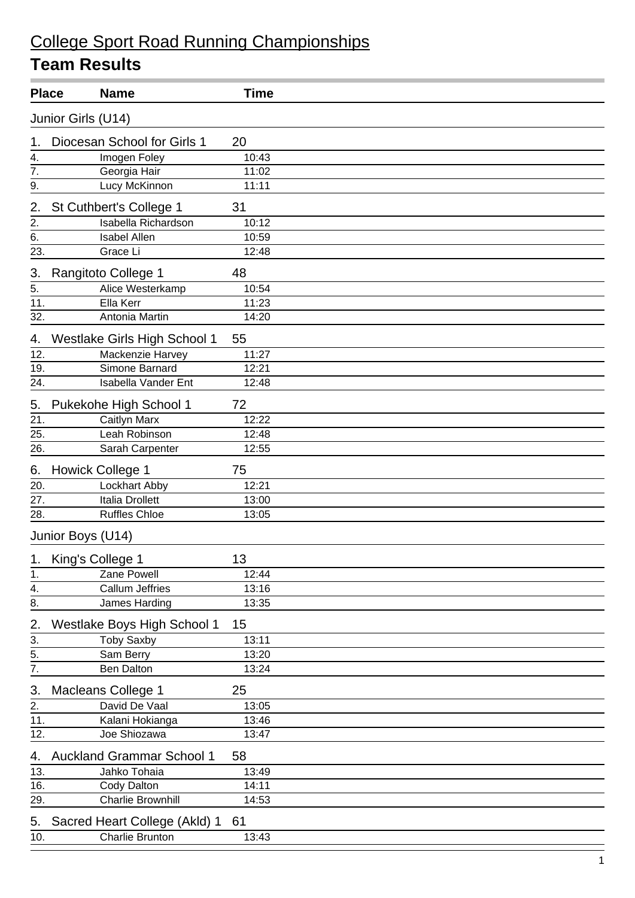## College Sport Road Running Championships

| <b>Place</b>                         |                     | <b>Name</b>                      | <b>Time</b> |  |
|--------------------------------------|---------------------|----------------------------------|-------------|--|
|                                      | Junior Girls (U14)  |                                  |             |  |
| 1.                                   |                     | Diocesan School for Girls 1      | 20          |  |
| 4.                                   |                     | Imogen Foley                     | 10:43       |  |
| $\overline{7}$ .                     |                     | Georgia Hair                     | 11:02       |  |
| 9.                                   |                     | Lucy McKinnon                    | 11:11       |  |
| 2.                                   |                     | St Cuthbert's College 1          | 31          |  |
| 2.                                   |                     | <b>Isabella Richardson</b>       | 10:12       |  |
| 6.                                   |                     | <b>Isabel Allen</b>              | 10:59       |  |
| 23.                                  |                     | Grace Li                         | 12:48       |  |
| 3.                                   |                     | Rangitoto College 1              | 48          |  |
| 5.                                   |                     | Alice Westerkamp                 | 10:54       |  |
| 11.                                  |                     | Ella Kerr                        | 11:23       |  |
| 32.                                  |                     | Antonia Martin                   | 14:20       |  |
| 4.                                   |                     | Westlake Girls High School 1     | 55          |  |
| 12.                                  |                     | Mackenzie Harvey                 | 11:27       |  |
| 19.                                  |                     | Simone Barnard                   | 12:21       |  |
| 24.                                  |                     | <b>Isabella Vander Ent</b>       | 12:48       |  |
| 5.                                   |                     | Pukekohe High School 1           | 72          |  |
| 21.                                  |                     | Caitlyn Marx                     | 12:22       |  |
| 25.                                  |                     | Leah Robinson                    | 12:48       |  |
| 26.                                  |                     | Sarah Carpenter                  | 12:55       |  |
| 6.                                   |                     | <b>Howick College 1</b>          | 75          |  |
| 20.                                  |                     | Lockhart Abby                    | 12:21       |  |
| 27.                                  |                     | Italia Drollett                  | 13:00       |  |
| 28.                                  |                     | <b>Ruffles Chloe</b>             | 13:05       |  |
|                                      | Junior Boys (U14)   |                                  |             |  |
|                                      | 1. King's College 1 |                                  | 13          |  |
| 1.                                   |                     | Zane Powell                      | 12:44       |  |
| 4.                                   |                     | Callum Jeffries                  | 13:16       |  |
| $\overline{8}$ .                     |                     | James Harding                    | 13:35       |  |
| 2.                                   |                     | Westlake Boys High School 1      | 15          |  |
| 3.                                   |                     | <b>Toby Saxby</b>                | 13:11       |  |
| $\overline{5}$ .<br>$\overline{7}$ . |                     | Sam Berry                        | 13:20       |  |
|                                      |                     | <b>Ben Dalton</b>                | 13:24       |  |
| 3.                                   |                     | Macleans College 1               | 25          |  |
| 2.                                   |                     | David De Vaal                    | 13:05       |  |
| 11.                                  |                     | Kalani Hokianga                  | 13:46       |  |
| 12.                                  |                     | Joe Shiozawa                     | 13:47       |  |
| 4.                                   |                     | <b>Auckland Grammar School 1</b> | 58          |  |
| 13.                                  |                     | Jahko Tohaia                     | 13:49       |  |
| 16.                                  |                     | Cody Dalton                      | 14:11       |  |
| 29.                                  |                     | <b>Charlie Brownhill</b>         | 14:53       |  |
| 5.                                   |                     | Sacred Heart College (Akld) 1    | 61          |  |
| 10.                                  |                     | Charlie Brunton                  | 13:43       |  |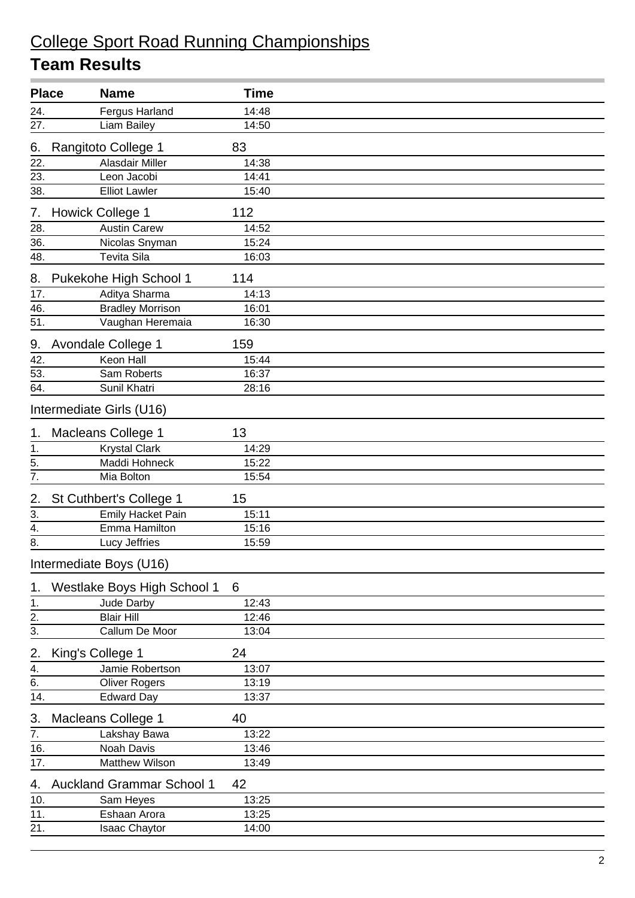## College Sport Road Running Championships

|                   | <b>Place</b><br><b>Name</b>      | Time  |  |
|-------------------|----------------------------------|-------|--|
|                   | Fergus Harland                   | 14:48 |  |
| $\frac{24}{27}$ . | Liam Bailey                      | 14:50 |  |
| 6.                | Rangitoto College 1              | 83    |  |
| 22.               | <b>Alasdair Miller</b>           | 14:38 |  |
| 23.               | Leon Jacobi                      | 14:41 |  |
| 38.               | <b>Elliot Lawler</b>             | 15:40 |  |
| 7.                | <b>Howick College 1</b>          | 112   |  |
| 28.               | <b>Austin Carew</b>              | 14:52 |  |
| 36.               | Nicolas Snyman                   | 15:24 |  |
| 48.               | <b>Tevita Sila</b>               | 16:03 |  |
| 8.                | Pukekohe High School 1           | 114   |  |
| 17.               | Aditya Sharma                    | 14:13 |  |
| 46.               | <b>Bradley Morrison</b>          | 16:01 |  |
| 51.               | Vaughan Heremaia                 | 16:30 |  |
| 9.                | Avondale College 1               | 159   |  |
| 42.               | <b>Keon Hall</b>                 | 15:44 |  |
| 53.               | Sam Roberts                      | 16:37 |  |
| 64.               | Sunil Khatri                     | 28:16 |  |
|                   | Intermediate Girls (U16)         |       |  |
| 1.                | Macleans College 1               | 13    |  |
| 1.                | <b>Krystal Clark</b>             | 14:29 |  |
| 5.                | Maddi Hohneck                    | 15:22 |  |
| 7.                | Mia Bolton                       | 15:54 |  |
| 2.                | St Cuthbert's College 1          | 15    |  |
| $\overline{3}$ .  | <b>Emily Hacket Pain</b>         | 15:11 |  |
| $\overline{4}$ .  | Emma Hamilton                    | 15:16 |  |
| 8.                | Lucy Jeffries                    | 15:59 |  |
|                   | Intermediate Boys (U16)          |       |  |
| 1.                | Westlake Boys High School 1      | 6     |  |
| 1.                | Jude Darby                       | 12:43 |  |
| $\overline{2}$ .  | <b>Blair Hill</b>                | 12:46 |  |
| $\overline{3}$ .  | Callum De Moor                   | 13:04 |  |
| 2.                | King's College 1                 | 24    |  |
| 4.                | Jamie Robertson                  | 13:07 |  |
| 6.                | <b>Oliver Rogers</b>             | 13:19 |  |
| 14.               | <b>Edward Day</b>                | 13:37 |  |
| 3.                | Macleans College 1               | 40    |  |
| 7.                | Lakshay Bawa                     | 13:22 |  |
| 16.               | Noah Davis                       | 13:46 |  |
| 17.               | Matthew Wilson                   | 13:49 |  |
| 4.                | <b>Auckland Grammar School 1</b> | 42    |  |
| 10.               | Sam Heyes                        | 13:25 |  |
| 11.               | Eshaan Arora                     | 13:25 |  |
| 21.               | Isaac Chaytor                    | 14:00 |  |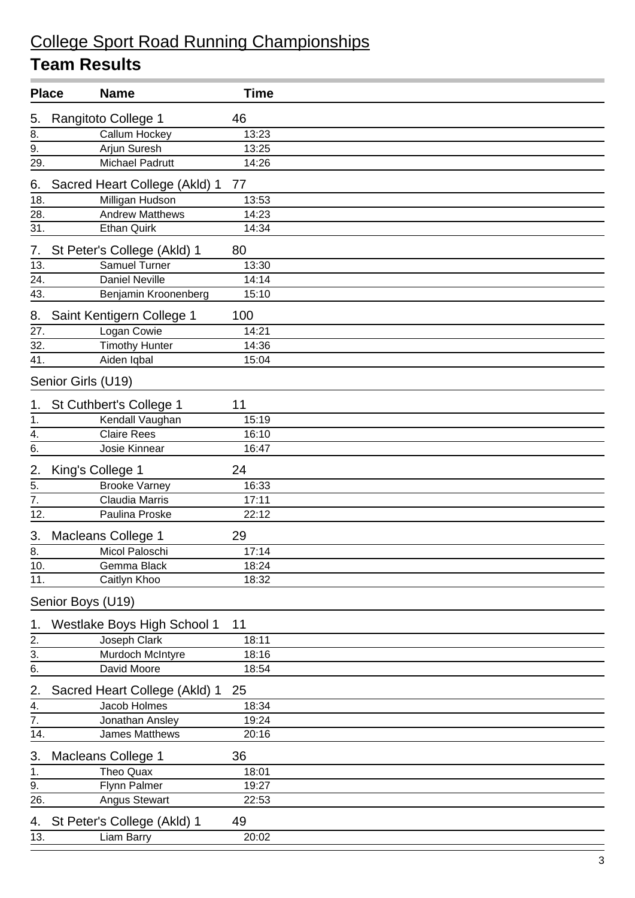# College Sport Road Running Championships

| <b>Place</b>      |                    | <b>Name</b>                   | <b>Time</b> |  |
|-------------------|--------------------|-------------------------------|-------------|--|
| 5.                |                    | Rangitoto College 1           | 46          |  |
| 8.                |                    | Callum Hockey                 | 13:23       |  |
| 9.                |                    | <b>Arjun Suresh</b>           | 13:25       |  |
| $\overline{29}$ . |                    | <b>Michael Padrutt</b>        | 14:26       |  |
| 6.                |                    | Sacred Heart College (Akld) 1 | 77          |  |
| 18.               |                    | Milligan Hudson               | 13:53       |  |
| 28.               |                    | <b>Andrew Matthews</b>        | 14:23       |  |
| 31.               |                    | <b>Ethan Quirk</b>            | 14:34       |  |
| 7.                |                    | St Peter's College (Akld) 1   | 80          |  |
| 13.               |                    | <b>Samuel Turner</b>          | 13:30       |  |
| 24.               |                    | <b>Daniel Neville</b>         | 14:14       |  |
| 43.               |                    | Benjamin Kroonenberg          | 15:10       |  |
| 8.                |                    | Saint Kentigern College 1     | 100         |  |
| 27.               |                    | Logan Cowie                   | 14:21       |  |
| 32.               |                    | <b>Timothy Hunter</b>         | 14:36       |  |
| 41.               |                    | Aiden Iqbal                   | 15:04       |  |
|                   | Senior Girls (U19) |                               |             |  |
| 1.                |                    | St Cuthbert's College 1       | 11          |  |
| 1.                |                    | Kendall Vaughan               | 15:19       |  |
| $\frac{1}{4}$     |                    | <b>Claire Rees</b>            | 16:10       |  |
| 6.                |                    | Josie Kinnear                 | 16:47       |  |
| $\frac{2}{5}$     | King's College 1   |                               | 24          |  |
|                   |                    | <b>Brooke Varney</b>          | 16:33       |  |
| $\overline{7}$ .  |                    | Claudia Marris                | 17:11       |  |
| 12.               |                    | Paulina Proske                | 22:12       |  |
| 3.                |                    | <b>Macleans College 1</b>     | 29          |  |
| 8.                |                    | Micol Paloschi                | 17:14       |  |
| $\overline{10}$ . |                    | Gemma Black                   | 18:24       |  |
| 11.               |                    | Caitlyn Khoo                  | 18:32       |  |
|                   | Senior Boys (U19)  |                               |             |  |
| 1.                |                    | Westlake Boys High School 1   | 11          |  |
| 2.                |                    | Joseph Clark                  | 18:11       |  |
| $\overline{3}$ .  |                    | Murdoch McIntyre              | 18:16       |  |
| 6.                |                    | David Moore                   | 18:54       |  |
| 2.                |                    | Sacred Heart College (Akld) 1 | 25          |  |
| 4.                |                    | Jacob Holmes                  | 18:34       |  |
| $\overline{7}$ .  |                    | Jonathan Ansley               | 19:24       |  |
| 14.               |                    | James Matthews                | 20:16       |  |
| 3.                |                    | Macleans College 1            | 36          |  |
| 1.                |                    | <b>Theo Quax</b>              | 18:01       |  |
| 9.                |                    | Flynn Palmer                  | 19:27       |  |
| 26.               |                    | Angus Stewart                 | 22:53       |  |
| 4.                |                    | St Peter's College (Akld) 1   | 49          |  |
| 13.               |                    | Liam Barry                    | 20:02       |  |